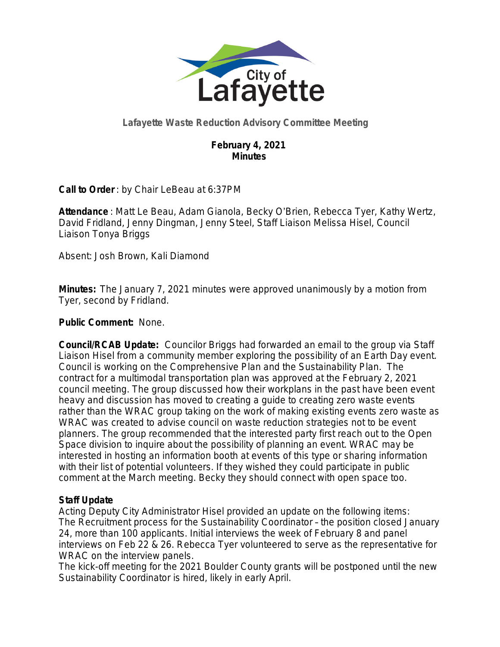

# **Lafayette Waste Reduction Advisory Committee Meeting**

## **February 4, 2021 Minutes**

**Call to Order** : by Chair LeBeau at 6:37PM

**Attendance** : Matt Le Beau, Adam Gianola, Becky O'Brien, Rebecca Tyer, Kathy Wertz, David Fridland, Jenny Dingman, Jenny Steel, Staff Liaison Melissa Hisel, Council Liaison Tonya Briggs

Absent: Josh Brown, Kali Diamond

**Minutes:** The January 7, 2021 minutes were approved unanimously by a motion from Tyer, second by Fridland.

## **Public Comment:** None.

**Council/RCAB Update:** Councilor Briggs had forwarded an email to the group via Staff Liaison Hisel from a community member exploring the possibility of an Earth Day event. Council is working on the Comprehensive Plan and the Sustainability Plan. The contract for a multimodal transportation plan was approved at the February 2, 2021 council meeting. The group discussed how their workplans in the past have been event heavy and discussion has moved to creating a guide to creating zero waste events rather than the WRAC group taking on the work of making existing events zero waste as WRAC was created to advise council on waste reduction strategies not to be event planners. The group recommended that the interested party first reach out to the Open Space division to inquire about the possibility of planning an event. WRAC may be interested in hosting an information booth at events of this type or sharing information with their list of potential volunteers. If they wished they could participate in public comment at the March meeting. Becky they should connect with open space too.

## **Staff Update**

Acting Deputy City Administrator Hisel provided an update on the following items: The Recruitment process for the Sustainability Coordinator – the position closed January 24, more than 100 applicants. Initial interviews the week of February 8 and panel interviews on Feb 22 & 26. *Rebecca Tyer volunteered to serve as the representative for WRAC on the interview panels*.

The kick-off meeting for the 2021 Boulder County grants will be postponed until the new Sustainability Coordinator is hired, likely in early April.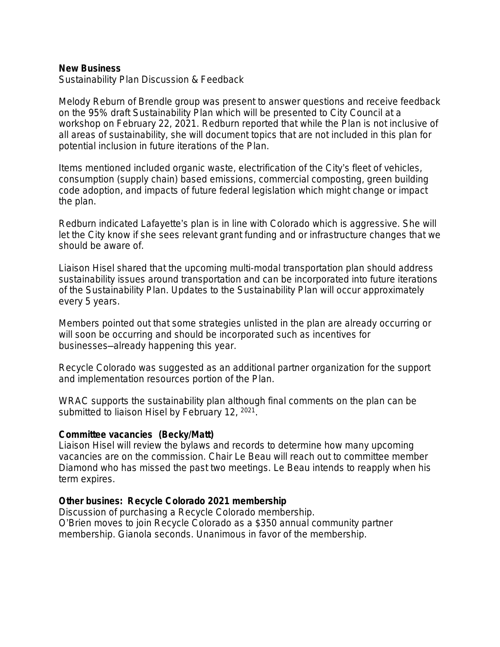#### **New Business**

Sustainability Plan Discussion & Feedback

Melody Reburn of Brendle group was present to answer questions and receive feedback on the 95% draft Sustainability Plan which will be presented to City Council at a workshop on February 22, 2021. Redburn reported that while the Plan is not inclusive of all areas of sustainability, she will document topics that are not included in this plan for potential inclusion in future iterations of the Plan.

Items mentioned included organic waste, electrification of the City's fleet of vehicles, consumption (supply chain) based emissions, commercial composting, green building code adoption, and impacts of future federal legislation which might change or impact the plan.

Redburn indicated Lafayette's plan is in line with Colorado which is aggressive. She will let the City know if she sees relevant grant funding and or infrastructure changes that we should be aware of.

Liaison Hisel shared that the upcoming multi-modal transportation plan should address sustainability issues around transportation and can be incorporated into future iterations of the Sustainability Plan. Updates to the Sustainability Plan will occur approximately every 5 years.

Members pointed out that some strategies unlisted in the plan are already occurring or will soon be occurring and should be incorporated such as incentives for businesses—already happening this year.

Recycle Colorado was suggested as an additional partner organization for the support and implementation resources portion of the Plan.

WRAC supports the sustainability plan although final comments on the plan can be submitted to liaison Hisel by February 12, <sup>2021</sup>.

#### **Committee vacancies (Becky/Matt)**

Liaison Hisel will review the bylaws and records to determine how many upcoming vacancies are on the commission. Chair Le Beau will reach out to committee member Diamond who has missed the past two meetings. Le Beau intends to reapply when his term expires.

### **Other busines: Recycle Colorado 2021 membership**

Discussion of purchasing a Recycle Colorado membership. O'Brien moves to join Recycle Colorado as a \$350 annual community partner membership. Gianola seconds. Unanimous in favor of the membership.